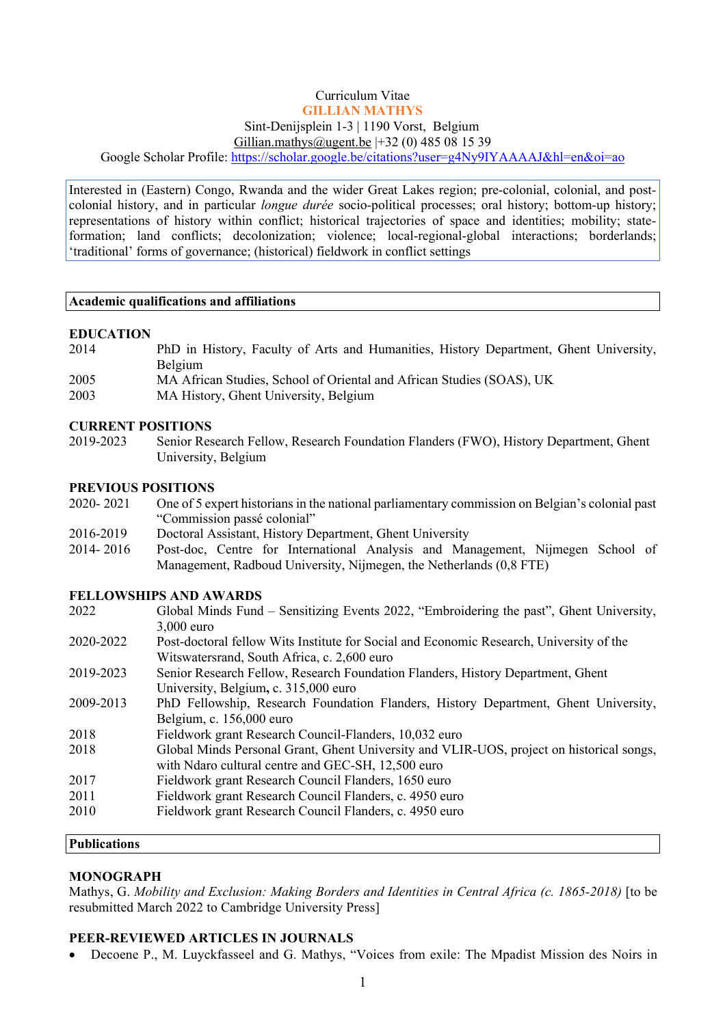## Curriculum Vitae **GILLIAN MATHYS** Sint-Denijsplein 1-3 | 1190 Vorst, Belgium Gillian.mathys@ugent.be |+32 (0) 485 08 15 39

Google Scholar Profile: https://scholar.google.be/citations?user=g4Ny9IYAAAAJ&hl=en&oi=ao

Interested in (Eastern) Congo, Rwanda and the wider Great Lakes region; pre-colonial, colonial, and postcolonial history, and in particular *longue durée* socio-political processes; oral history; bottom-up history; representations of history within conflict; historical trajectories of space and identities; mobility; stateformation; land conflicts; decolonization; violence; local-regional-global interactions; borderlands; 'traditional' forms of governance; (historical) fieldwork in conflict settings

#### **Academic qualifications and affiliations**

#### **EDUCATION**

- 2014 PhD in History, Faculty of Arts and Humanities, History Department, Ghent University, Belgium 2005 MA African Studies, School of Oriental and African Studies (SOAS), UK
- 2003 MA History, Ghent University, Belgium

#### **CURRENT POSITIONS**

2019-2023 Senior Research Fellow, Research Foundation Flanders (FWO), History Department, Ghent University, Belgium

#### **PREVIOUS POSITIONS**

- 2020- 2021 One of 5 expert historians in the national parliamentary commission on Belgian's colonial past "Commission passé colonial"
- 2016-2019 Doctoral Assistant, History Department, Ghent University
- 2014- 2016 Post-doc, Centre for International Analysis and Management, Nijmegen School of Management, Radboud University, Nijmegen, the Netherlands (0,8 FTE)

#### **FELLOWSHIPS AND AWARDS**

| 2022    | Global Minds Fund – Sensitizing Events 2022, "Embroidering the past", Ghent University, |
|---------|-----------------------------------------------------------------------------------------|
|         | $3,000$ euro                                                                            |
| ാറാവാറാ | Doct doctoral follow Wite Institute for Social and Economic Desearch University of the  |

- 2020-2022 Post-doctoral fellow Wits Institute for Social and Economic Research, University of the Witswatersrand, South Africa, c. 2,600 euro
- 2019-2023 Senior Research Fellow, Research Foundation Flanders, History Department, Ghent University, Belgium**,** c. 315,000 euro
- 2009-2013 PhD Fellowship, Research Foundation Flanders, History Department, Ghent University, Belgium, c. 156,000 euro
- 2018 Fieldwork grant Research Council-Flanders, 10,032 euro
- 2018 Global Minds Personal Grant, Ghent University and VLIR-UOS, project on historical songs, with Ndaro cultural centre and GEC-SH, 12,500 euro
- 2017 Fieldwork grant Research Council Flanders, 1650 euro
- 2011 Fieldwork grant Research Council Flanders, c. 4950 euro
- 2010 Fieldwork grant Research Council Flanders, c. 4950 euro

## **Publications**

## **MONOGRAPH**

Mathys, G. *Mobility and Exclusion: Making Borders and Identities in Central Africa (c. 1865-2018)* [to be resubmitted March 2022 to Cambridge University Press]

# **PEER-REVIEWED ARTICLES IN JOURNALS**

• Decoene P., M. Luyckfasseel and G. Mathys, "Voices from exile: The Mpadist Mission des Noirs in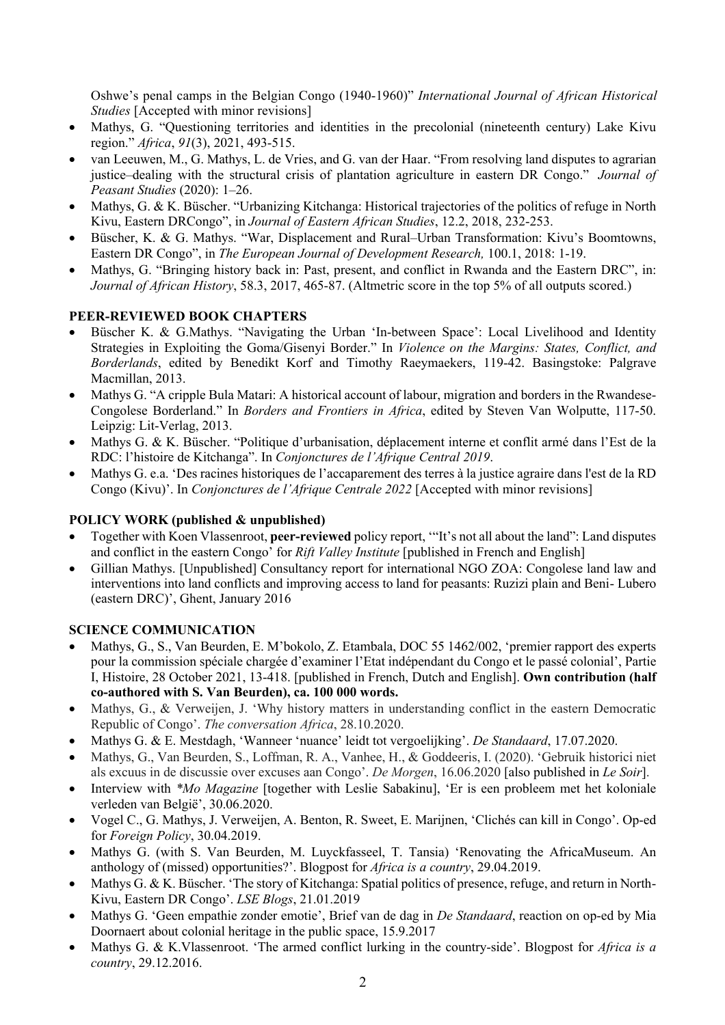Oshwe's penal camps in the Belgian Congo (1940-1960)" *International Journal of African Historical Studies* [Accepted with minor revisions]

- Mathys, G. "Questioning territories and identities in the precolonial (nineteenth century) Lake Kivu region." *Africa*, *91*(3), 2021, 493-515.
- van Leeuwen, M., G. Mathys, L. de Vries, and G. van der Haar. "From resolving land disputes to agrarian justice–dealing with the structural crisis of plantation agriculture in eastern DR Congo." *Journal of Peasant Studies* (2020): 1–26.
- Mathys, G. & K. Büscher. "Urbanizing Kitchanga: Historical trajectories of the politics of refuge in North Kivu, Eastern DRCongo", in *Journal of Eastern African Studies*, 12.2, 2018, 232-253.
- Büscher, K. & G. Mathys. "War, Displacement and Rural–Urban Transformation: Kivu's Boomtowns, Eastern DR Congo", in *The European Journal of Development Research,* 100.1, 2018: 1-19.
- Mathys, G. "Bringing history back in: Past, present, and conflict in Rwanda and the Eastern DRC", in: *Journal of African History*, 58.3, 2017, 465-87. (Altmetric score in the top 5% of all outputs scored.)

# **PEER-REVIEWED BOOK CHAPTERS**

- Büscher K. & G.Mathys. "Navigating the Urban 'In-between Space': Local Livelihood and Identity Strategies in Exploiting the Goma/Gisenyi Border." In *Violence on the Margins: States, Conflict, and Borderlands*, edited by Benedikt Korf and Timothy Raeymaekers, 119-42. Basingstoke: Palgrave Macmillan, 2013.
- Mathys G. "A cripple Bula Matari: A historical account of labour, migration and borders in the Rwandese-Congolese Borderland." In *Borders and Frontiers in Africa*, edited by Steven Van Wolputte, 117-50. Leipzig: Lit-Verlag, 2013.
- Mathys G. & K. Büscher. "Politique d'urbanisation, déplacement interne et conflit armé dans l'Est de la RDC: l'histoire de Kitchanga". In *Conjonctures de l'Afrique Central 2019*.
- Mathys G. e.a. 'Des racines historiques de l'accaparement des terres à la justice agraire dans l'est de la RD Congo (Kivu)'. In *Conjonctures de l'Afrique Centrale 2022* [Accepted with minor revisions]

# **POLICY WORK (published & unpublished)**

- Together with Koen Vlassenroot, **peer-reviewed** policy report, '"It's not all about the land": Land disputes and conflict in the eastern Congo' for *Rift Valley Institute* [published in French and English]
- Gillian Mathys. [Unpublished] Consultancy report for international NGO ZOA: Congolese land law and interventions into land conflicts and improving access to land for peasants: Ruzizi plain and Beni- Lubero (eastern DRC)', Ghent, January 2016

# **SCIENCE COMMUNICATION**

- Mathys, G., S., Van Beurden, E. M'bokolo, Z. Etambala, DOC 55 1462/002, 'premier rapport des experts pour la commission spéciale chargée d'examiner l'Etat indépendant du Congo et le passé colonial', Partie I, Histoire, 28 October 2021, 13-418. [published in French, Dutch and English]. **Own contribution (half co-authored with S. Van Beurden), ca. 100 000 words.**
- Mathys, G., & Verweijen, J. 'Why history matters in understanding conflict in the eastern Democratic Republic of Congo'. *The conversation Africa*, 28.10.2020.
- Mathys G. & E. Mestdagh, 'Wanneer 'nuance' leidt tot vergoelijking'. *De Standaard*, 17.07.2020.
- Mathys, G., Van Beurden, S., Loffman, R. A., Vanhee, H., & Goddeeris, I. (2020). 'Gebruik historici niet als excuus in de discussie over excuses aan Congo'. *De Morgen*, 16.06.2020 [also published in *Le Soir*].
- Interview with *\*Mo Magazine* [together with Leslie Sabakinu], 'Er is een probleem met het koloniale verleden van België', 30.06.2020.
- Vogel C., G. Mathys, J. Verweijen, A. Benton, R. Sweet, E. Marijnen, 'Clichés can kill in Congo'. Op-ed for *Foreign Policy*, 30.04.2019.
- Mathys G. (with S. Van Beurden, M. Luyckfasseel, T. Tansia) 'Renovating the AfricaMuseum. An anthology of (missed) opportunities?'. Blogpost for *Africa is a country*, 29.04.2019.
- Mathys G. & K. Büscher. 'The story of Kitchanga: Spatial politics of presence, refuge, and return in North-Kivu, Eastern DR Congo'. *LSE Blogs*, 21.01.2019
- Mathys G. 'Geen empathie zonder emotie', Brief van de dag in *De Standaard*, reaction on op-ed by Mia Doornaert about colonial heritage in the public space, 15.9.2017
- Mathys G. & K.Vlassenroot. 'The armed conflict lurking in the country-side'. Blogpost for *Africa is a country*, 29.12.2016.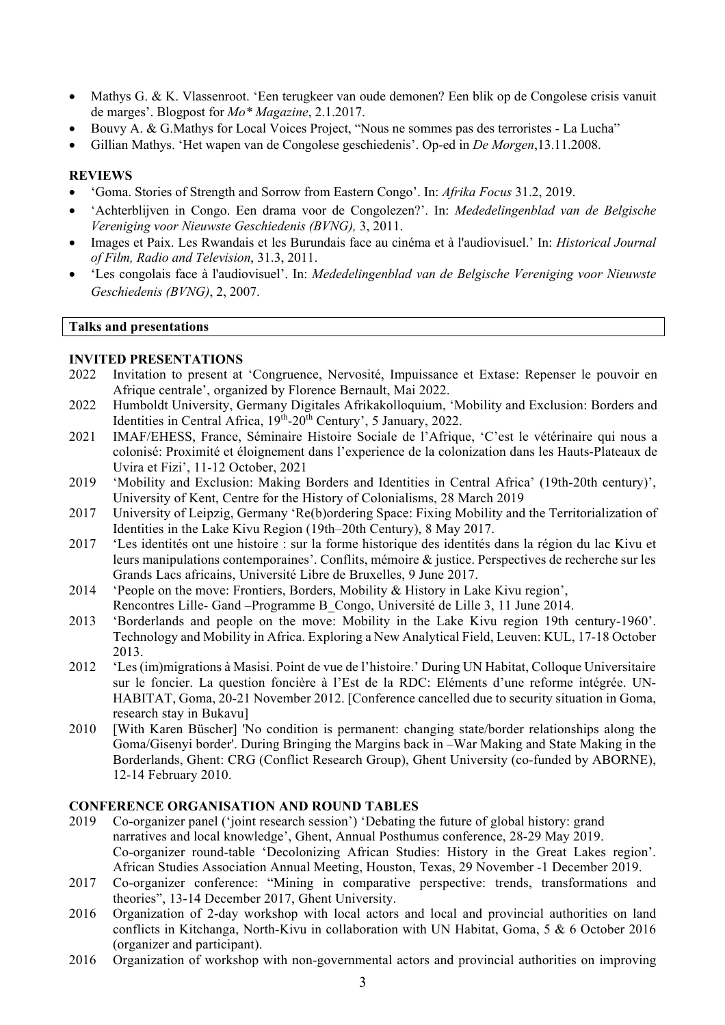- Mathys G. & K. Vlassenroot. 'Een terugkeer van oude demonen? Een blik op de Congolese crisis vanuit de marges'. Blogpost for *Mo\* Magazine*, 2.1.2017.
- Bouvy A. & G.Mathys for Local Voices Project, "Nous ne sommes pas des terroristes La Lucha"
- Gillian Mathys. 'Het wapen van de Congolese geschiedenis'. Op-ed in *De Morgen*,13.11.2008.

### **REVIEWS**

- 'Goma. Stories of Strength and Sorrow from Eastern Congo'. In: *Afrika Focus* 31.2, 2019.
- 'Achterblijven in Congo. Een drama voor de Congolezen?'. In: *Mededelingenblad van de Belgische Vereniging voor Nieuwste Geschiedenis (BVNG),* 3, 2011.
- Images et Paix. Les Rwandais et les Burundais face au cinéma et à l'audiovisuel.' In: *Historical Journal of Film, Radio and Television*, 31.3, 2011.
- 'Les congolais face à l'audiovisuel'. In: *Mededelingenblad van de Belgische Vereniging voor Nieuwste Geschiedenis (BVNG)*, 2, 2007.

#### **Talks and presentations**

#### **INVITED PRESENTATIONS**

- 2022 Invitation to present at 'Congruence, Nervosité, Impuissance et Extase: Repenser le pouvoir en Afrique centrale', organized by Florence Bernault, Mai 2022.
- 2022 Humboldt University, Germany Digitales Afrikakolloquium, 'Mobility and Exclusion: Borders and Identities in Central Africa,  $19^{th}$ - $20^{th}$  Century', 5 January, 2022.
- 2021 IMAF/EHESS, France, Séminaire Histoire Sociale de l'Afrique, 'C'est le vétérinaire qui nous a colonisé: Proximité et éloignement dans l'experience de la colonization dans les Hauts-Plateaux de Uvira et Fizi', 11-12 October, 2021
- 2019 'Mobility and Exclusion: Making Borders and Identities in Central Africa' (19th-20th century)', University of Kent, Centre for the History of Colonialisms, 28 March 2019
- 2017 University of Leipzig, Germany 'Re(b)ordering Space: Fixing Mobility and the Territorialization of Identities in the Lake Kivu Region (19th–20th Century), 8 May 2017.
- 2017 'Les identités ont une histoire : sur la forme historique des identités dans la région du lac Kivu et leurs manipulations contemporaines'. Conflits, mémoire & justice. Perspectives de recherche sur les Grands Lacs africains, Université Libre de Bruxelles, 9 June 2017.
- 2014 'People on the move: Frontiers, Borders, Mobility & History in Lake Kivu region', Rencontres Lille- Gand –Programme B\_Congo, Université de Lille 3, 11 June 2014.
- 2013 'Borderlands and people on the move: Mobility in the Lake Kivu region 19th century-1960'. Technology and Mobility in Africa. Exploring a New Analytical Field, Leuven: KUL, 17-18 October 2013.
- 2012 'Les (im)migrations à Masisi. Point de vue de l'histoire.' During UN Habitat, Colloque Universitaire sur le foncier. La question foncière à l'Est de la RDC: Eléments d'une reforme intégrée. UN-HABITAT, Goma, 20-21 November 2012. [Conference cancelled due to security situation in Goma, research stay in Bukavu]
- 2010 [With Karen Büscher] 'No condition is permanent: changing state/border relationships along the Goma/Gisenyi border'. During Bringing the Margins back in –War Making and State Making in the Borderlands, Ghent: CRG (Conflict Research Group), Ghent University (co-funded by ABORNE), 12-14 February 2010.

#### **CONFERENCE ORGANISATION AND ROUND TABLES**

- 2019 Co-organizer panel ('joint research session') 'Debating the future of global history: grand narratives and local knowledge', Ghent, Annual Posthumus conference, 28-29 May 2019. Co-organizer round-table 'Decolonizing African Studies: History in the Great Lakes region'. African Studies Association Annual Meeting, Houston, Texas, 29 November -1 December 2019.
- 2017 Co-organizer conference: "Mining in comparative perspective: trends, transformations and theories", 13-14 December 2017, Ghent University.
- 2016 Organization of 2-day workshop with local actors and local and provincial authorities on land conflicts in Kitchanga, North-Kivu in collaboration with UN Habitat, Goma, 5 & 6 October 2016 (organizer and participant).
- 2016 Organization of workshop with non-governmental actors and provincial authorities on improving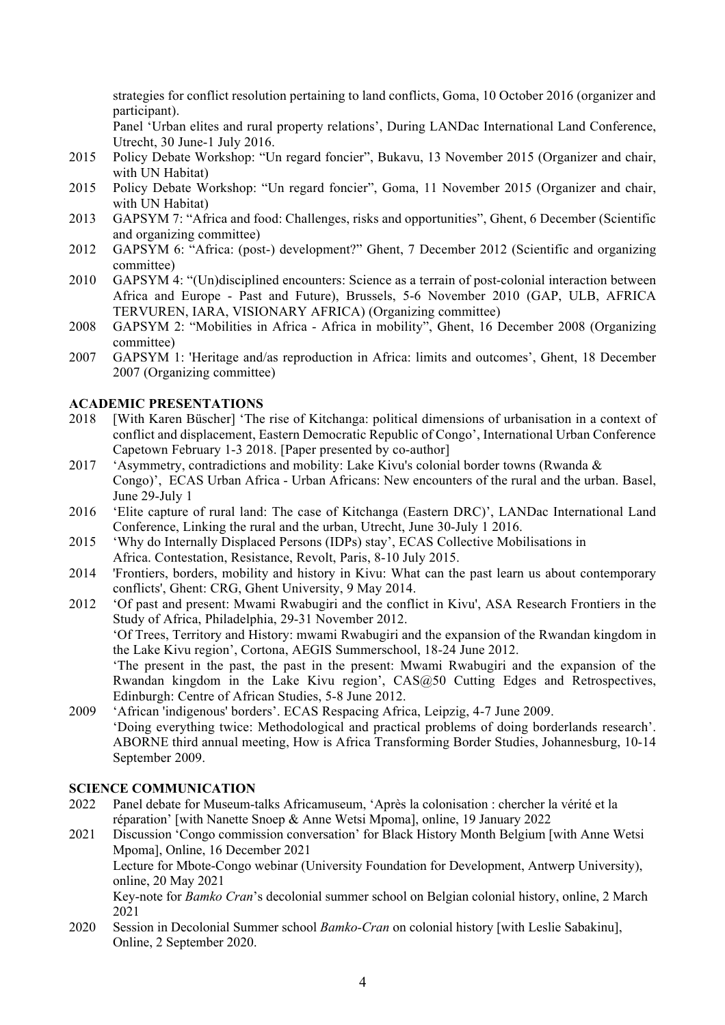strategies for conflict resolution pertaining to land conflicts, Goma, 10 October 2016 (organizer and participant).

Panel 'Urban elites and rural property relations', During LANDac International Land Conference, Utrecht, 30 June-1 July 2016.

- 2015 Policy Debate Workshop: "Un regard foncier", Bukavu, 13 November 2015 (Organizer and chair, with UN Habitat)
- 2015 Policy Debate Workshop: "Un regard foncier", Goma, 11 November 2015 (Organizer and chair, with UN Habitat)
- 2013 GAPSYM 7: "Africa and food: Challenges, risks and opportunities", Ghent, 6 December (Scientific and organizing committee)
- 2012 GAPSYM 6: "Africa: (post-) development?" Ghent, 7 December 2012 (Scientific and organizing committee)
- 2010 GAPSYM 4: "(Un)disciplined encounters: Science as a terrain of post-colonial interaction between Africa and Europe - Past and Future), Brussels, 5-6 November 2010 (GAP, ULB, AFRICA TERVUREN, IARA, VISIONARY AFRICA) (Organizing committee)
- 2008 GAPSYM 2: "Mobilities in Africa Africa in mobility", Ghent, 16 December 2008 (Organizing committee)
- 2007 GAPSYM 1: 'Heritage and/as reproduction in Africa: limits and outcomes', Ghent, 18 December 2007 (Organizing committee)

## **ACADEMIC PRESENTATIONS**

- 2018 [With Karen Büscher] 'The rise of Kitchanga: political dimensions of urbanisation in a context of conflict and displacement, Eastern Democratic Republic of Congo', International Urban Conference Capetown February 1-3 2018. [Paper presented by co-author]
- 2017 'Asymmetry, contradictions and mobility: Lake Kivu's colonial border towns (Rwanda & Congo)', ECAS Urban Africa - Urban Africans: New encounters of the rural and the urban. Basel, June 29-July 1
- 2016 'Elite capture of rural land: The case of Kitchanga (Eastern DRC)', LANDac International Land Conference, Linking the rural and the urban, Utrecht, June 30-July 1 2016.
- 2015 'Why do Internally Displaced Persons (IDPs) stay', ECAS Collective Mobilisations in Africa. Contestation, Resistance, Revolt, Paris, 8-10 July 2015.
- 2014 'Frontiers, borders, mobility and history in Kivu: What can the past learn us about contemporary conflicts', Ghent: CRG, Ghent University, 9 May 2014.
- 2012 'Of past and present: Mwami Rwabugiri and the conflict in Kivu', ASA Research Frontiers in the Study of Africa, Philadelphia, 29-31 November 2012. 'Of Trees, Territory and History: mwami Rwabugiri and the expansion of the Rwandan kingdom in the Lake Kivu region', Cortona, AEGIS Summerschool, 18-24 June 2012. 'The present in the past, the past in the present: Mwami Rwabugiri and the expansion of the Rwandan kingdom in the Lake Kivu region', CAS@50 Cutting Edges and Retrospectives, Edinburgh: Centre of African Studies, 5-8 June 2012.
- 2009 'African 'indigenous' borders'. ECAS Respacing Africa, Leipzig, 4-7 June 2009. 'Doing everything twice: Methodological and practical problems of doing borderlands research'. ABORNE third annual meeting, How is Africa Transforming Border Studies, Johannesburg, 10-14 September 2009.

#### **SCIENCE COMMUNICATION**

- 2022 Panel debate for Museum-talks Africamuseum, 'Après la colonisation : chercher la vérité et la réparation' [with Nanette Snoep & Anne Wetsi Mpoma], online, 19 January 2022
- 2021 Discussion 'Congo commission conversation' for Black History Month Belgium [with Anne Wetsi Mpoma], Online, 16 December 2021

Lecture for Mbote-Congo webinar (University Foundation for Development, Antwerp University), online, 20 May 2021

Key-note for *Bamko Cran*'s decolonial summer school on Belgian colonial history, online, 2 March 2021

2020 Session in Decolonial Summer school *Bamko-Cran* on colonial history [with Leslie Sabakinu], Online, 2 September 2020.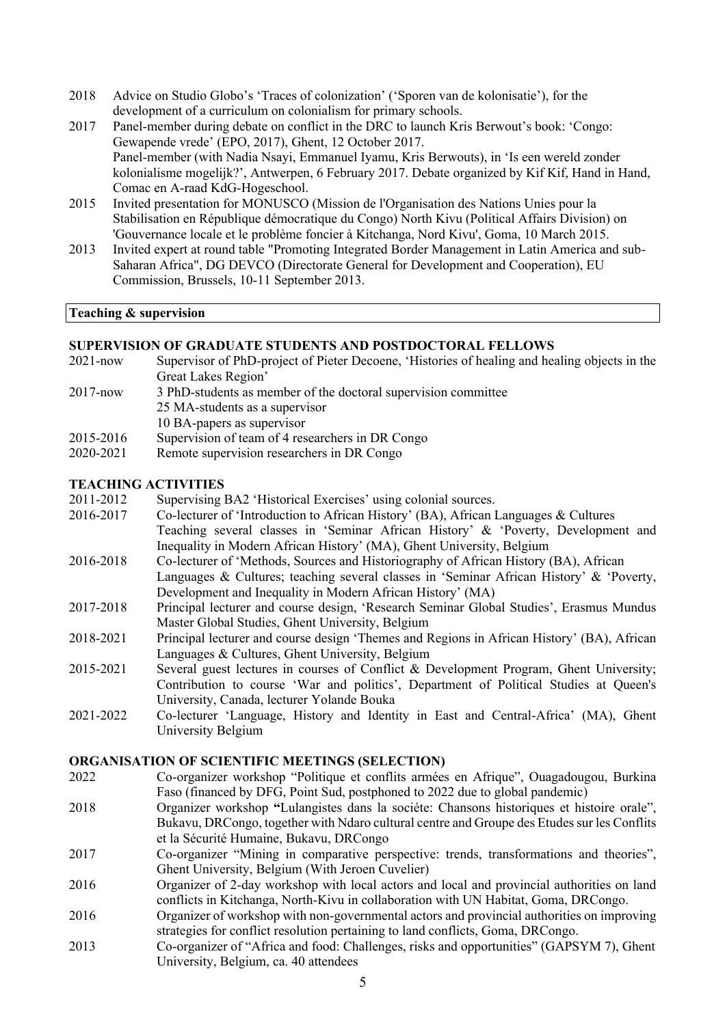- 2018 Advice on Studio Globo's 'Traces of colonization' ('Sporen van de kolonisatie'), for the development of a curriculum on colonialism for primary schools.
- 2017 Panel-member during debate on conflict in the DRC to launch Kris Berwout's book: 'Congo: Gewapende vrede' (EPO, 2017), Ghent, 12 October 2017. Panel-member (with Nadia Nsayi, Emmanuel Iyamu, Kris Berwouts), in 'Is een wereld zonder kolonialisme mogelijk?', Antwerpen, 6 February 2017. Debate organized by Kif Kif, Hand in Hand, Comac en A-raad KdG-Hogeschool.
- 2015 Invited presentation for MONUSCO (Mission de l'Organisation des Nations Unies pour la Stabilisation en République démocratique du Congo) North Kivu (Political Affairs Division) on 'Gouvernance locale et le problème foncier à Kitchanga, Nord Kivu', Goma, 10 March 2015.
- 2013 Invited expert at round table "Promoting Integrated Border Management in Latin America and sub-Saharan Africa", DG DEVCO (Directorate General for Development and Cooperation), EU Commission, Brussels, 10-11 September 2013.

## **Teaching & supervision**

#### **SUPERVISION OF GRADUATE STUDENTS AND POSTDOCTORAL FELLOWS**

- 2021-now Supervisor of PhD-project of Pieter Decoene, 'Histories of healing and healing objects in the Great Lakes Region'
- 2017-now 3 PhD-students as member of the doctoral supervision committee
	- 25 MA-students as a supervisor
- 10 BA-papers as supervisor
- 2015-2016 Supervision of team of 4 researchers in DR Congo
- 2020-2021 Remote supervision researchers in DR Congo

#### **TEACHING ACTIVITIES**

- 2011-2012 Supervising BA2 'Historical Exercises' using colonial sources.
- 2016-2017 Co-lecturer of 'Introduction to African History' (BA), African Languages & Cultures Teaching several classes in 'Seminar African History' & 'Poverty, Development and Inequality in Modern African History' (MA), Ghent University, Belgium
- 2016-2018 Co-lecturer of 'Methods, Sources and Historiography of African History (BA), African Languages & Cultures; teaching several classes in 'Seminar African History' & 'Poverty, Development and Inequality in Modern African History' (MA)
- 2017-2018 Principal lecturer and course design, 'Research Seminar Global Studies', Erasmus Mundus Master Global Studies, Ghent University, Belgium
- 2018-2021 Principal lecturer and course design 'Themes and Regions in African History' (BA), African Languages & Cultures, Ghent University, Belgium
- 2015-2021 Several guest lectures in courses of Conflict & Development Program, Ghent University; Contribution to course 'War and politics', Department of Political Studies at Queen's University, Canada, lecturer Yolande Bouka
- 2021-2022 Co-lecturer 'Language, History and Identity in East and Central-Africa' (MA), Ghent University Belgium

#### **ORGANISATION OF SCIENTIFIC MEETINGS (SELECTION)**

- 2022 Co-organizer workshop "Politique et conflits armées en Afrique", Ouagadougou, Burkina Faso (financed by DFG, Point Sud, postphoned to 2022 due to global pandemic)
- 2018 Organizer workshop **"**Lulangistes dans la sociéte: Chansons historiques et histoire orale", Bukavu, DRCongo, together with Ndaro cultural centre and Groupe des Etudes sur les Conflits et la Sécurité Humaine, Bukavu, DRCongo
- 2017 Co-organizer "Mining in comparative perspective: trends, transformations and theories", Ghent University, Belgium (With Jeroen Cuvelier)
- 2016 Organizer of 2-day workshop with local actors and local and provincial authorities on land conflicts in Kitchanga, North-Kivu in collaboration with UN Habitat, Goma, DRCongo.
- 2016 Organizer of workshop with non-governmental actors and provincial authorities on improving strategies for conflict resolution pertaining to land conflicts, Goma, DRCongo.
- 2013 Co-organizer of "Africa and food: Challenges, risks and opportunities" (GAPSYM 7), Ghent University, Belgium, ca. 40 attendees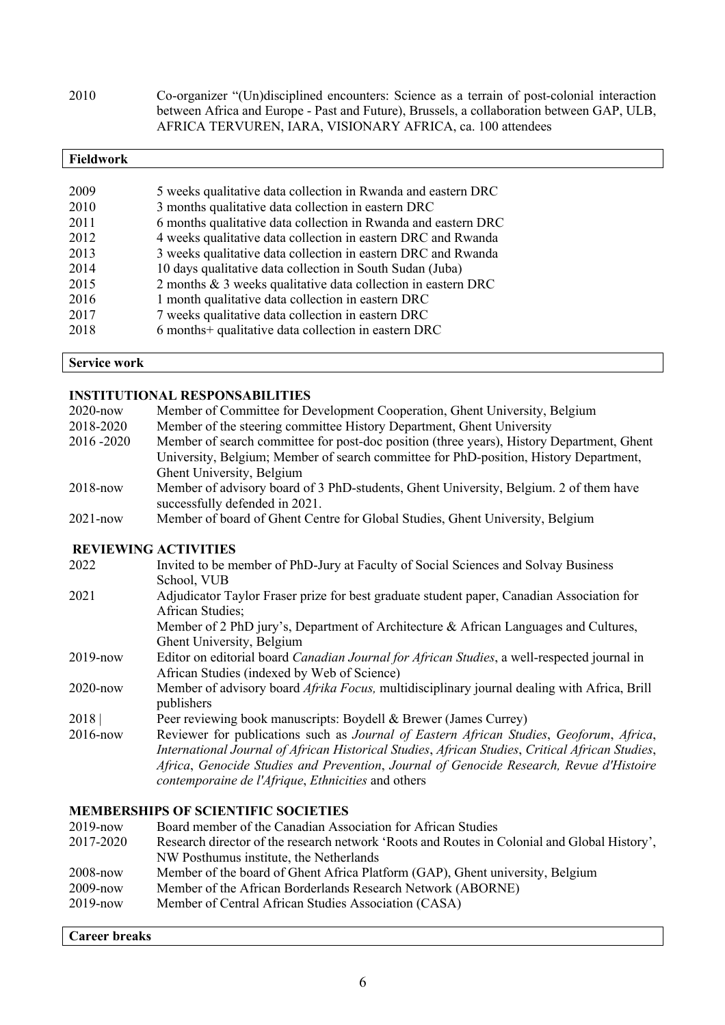2010 Co-organizer "(Un)disciplined encounters: Science as a terrain of post-colonial interaction between Africa and Europe - Past and Future), Brussels, a collaboration between GAP, ULB, AFRICA TERVUREN, IARA, VISIONARY AFRICA, ca. 100 attendees

| <b>Fieldwork</b> |                                                                |
|------------------|----------------------------------------------------------------|
|                  |                                                                |
| 2009             | 5 weeks qualitative data collection in Rwanda and eastern DRC  |
| 2010             | 3 months qualitative data collection in eastern DRC            |
| 2011             | 6 months qualitative data collection in Rwanda and eastern DRC |
| 2012             | 4 weeks qualitative data collection in eastern DRC and Rwanda  |
| 2013             | 3 weeks qualitative data collection in eastern DRC and Rwanda  |
| 2014             | 10 days qualitative data collection in South Sudan (Juba)      |
| 2015             | 2 months & 3 weeks qualitative data collection in eastern DRC  |
| 2016             | 1 month qualitative data collection in eastern DRC             |
| 2017             | 7 weeks qualitative data collection in eastern DRC             |
| 2018             | 6 months+ qualitative data collection in eastern DRC           |
|                  |                                                                |

**Service work**

## **INSTITUTIONAL RESPONSABILITIES**

| $2020$ -now  | Member of Committee for Development Cooperation, Ghent University, Belgium                                              |
|--------------|-------------------------------------------------------------------------------------------------------------------------|
| 2018-2020    | Member of the steering committee History Department, Ghent University                                                   |
| 2016 - 2020  | Member of search committee for post-doc position (three years), History Department, Ghent                               |
|              | University, Belgium; Member of search committee for PhD-position, History Department,                                   |
|              | Ghent University, Belgium                                                                                               |
| $2018 - now$ | Member of advisory board of 3 PhD-students, Ghent University, Belgium. 2 of them have<br>successfully defended in 2021. |
| $2021 - now$ | Member of board of Ghent Centre for Global Studies, Ghent University, Belgium                                           |

# **REVIEWING ACTIVITIES**

| 2022         | Invited to be member of PhD-Jury at Faculty of Social Sciences and Solvay Business                                |
|--------------|-------------------------------------------------------------------------------------------------------------------|
|              | School, VUB                                                                                                       |
| 2021         | Adjudicator Taylor Fraser prize for best graduate student paper, Canadian Association for                         |
|              | <b>African Studies:</b>                                                                                           |
|              | Member of 2 PhD jury's, Department of Architecture & African Languages and Cultures,                              |
|              | Ghent University, Belgium                                                                                         |
| $2019 - now$ | Editor on editorial board Canadian Journal for African Studies, a well-respected journal in                       |
|              | African Studies (indexed by Web of Science)                                                                       |
| 2020-now     | Member of advisory board <i>Afrika Focus</i> , multidisciplinary journal dealing with Africa, Brill<br>publishers |
| 2018         | Peer reviewing book manuscripts: Boydell & Brewer (James Currey)                                                  |
|              |                                                                                                                   |
| 2016-now     | Reviewer for publications such as Journal of Eastern African Studies, Geoforum, Africa,                           |
|              | International Journal of African Historical Studies, African Studies, Critical African Studies,                   |
|              | Africa, Genocide Studies and Prevention, Journal of Genocide Research, Revue d'Histoire                           |
|              | contemporaine de l'Afrique, Ethnicities and others                                                                |

# **MEMBERSHIPS OF SCIENTIFIC SOCIETIES**

| Board member of the Canadian Association for African Studies                                 |
|----------------------------------------------------------------------------------------------|
| Research director of the research network 'Roots and Routes in Colonial and Global History', |
| NW Posthumus institute, the Netherlands                                                      |
| Member of the board of Ghent Africa Platform (GAP), Ghent university, Belgium                |
| Member of the African Borderlands Research Network (ABORNE)                                  |
| Member of Central African Studies Association (CASA)                                         |
|                                                                                              |

#### **Career breaks**